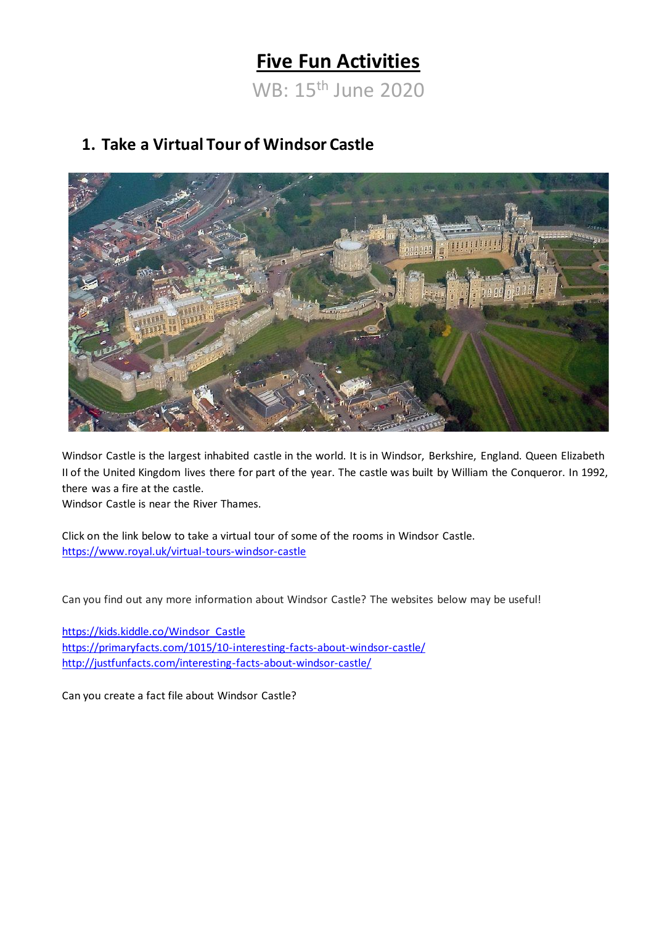# **Five Fun Activities**

WB: 15th June 2020

### **1. Take a Virtual Tour of Windsor Castle**



Windsor Castle is the largest inhabited castle in the world. It is in Windsor, Berkshire, England. Queen Elizabeth II of the United Kingdom lives there for part of the year. The castle was built by William the Conqueror. In 1992, there was a fire at the castle.

Windsor Castle is near the River Thames.

Click on the link below to take a virtual tour of some of the rooms in Windsor Castle. <https://www.royal.uk/virtual-tours-windsor-castle>

Can you find out any more information about Windsor Castle? The websites below may be useful!

[https://kids.kiddle.co/Windsor\\_Castle](https://kids.kiddle.co/Windsor_Castle) <https://primaryfacts.com/1015/10-interesting-facts-about-windsor-castle/> <http://justfunfacts.com/interesting-facts-about-windsor-castle/>

Can you create a fact file about Windsor Castle?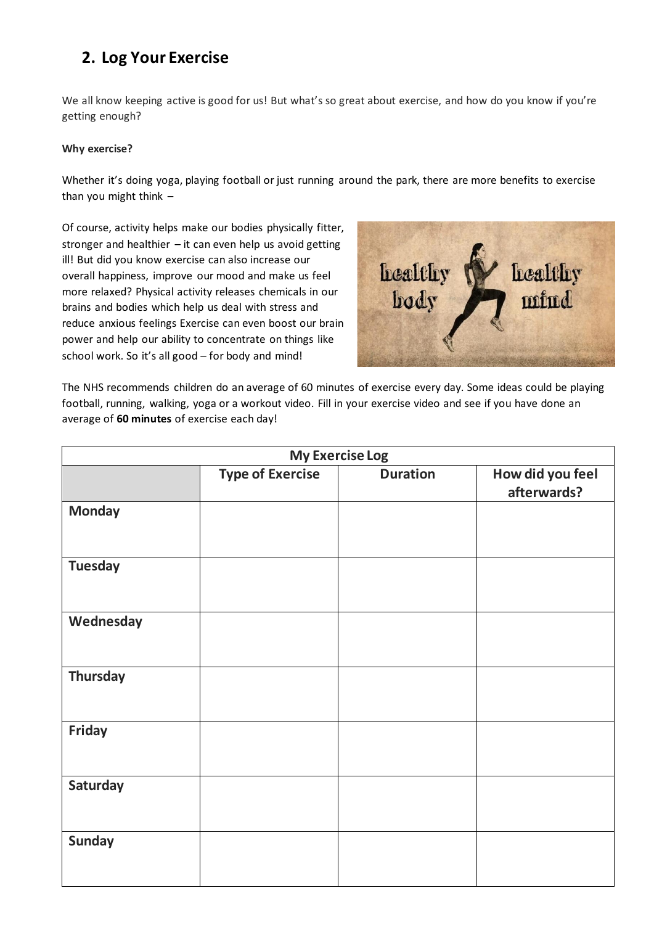## **2. Log Your Exercise**

We all know keeping active is good for us! But what's so great about exercise, and how do you know if you're getting enough?

#### **Why exercise?**

Whether it's doing yoga, playing football or just running around the park, there are more benefits to exercise than you might think –

Of course, activity helps make our bodies physically fitter, stronger and healthier  $-$  it can even help us avoid getting ill! But did you know exercise can also increase our overall happiness, improve our mood and make us feel more relaxed? Physical activity releases chemicals in our brains and bodies which help us deal with stress and reduce anxious feelings Exercise can even boost our brain power and help our ability to concentrate on things like school work. So it's all good – for body and mind!



The NHS recommends children do an average of 60 minutes of exercise every day. Some ideas could be playing football, running, walking, yoga or a workout video. Fill in your exercise video and see if you have done an average of **60 minutes** of exercise each day!

| <b>My Exercise Log</b> |                         |                 |                                 |
|------------------------|-------------------------|-----------------|---------------------------------|
|                        | <b>Type of Exercise</b> | <b>Duration</b> | How did you feel<br>afterwards? |
| <b>Monday</b>          |                         |                 |                                 |
| <b>Tuesday</b>         |                         |                 |                                 |
| Wednesday              |                         |                 |                                 |
| <b>Thursday</b>        |                         |                 |                                 |
| Friday                 |                         |                 |                                 |
| Saturday               |                         |                 |                                 |
| <b>Sunday</b>          |                         |                 |                                 |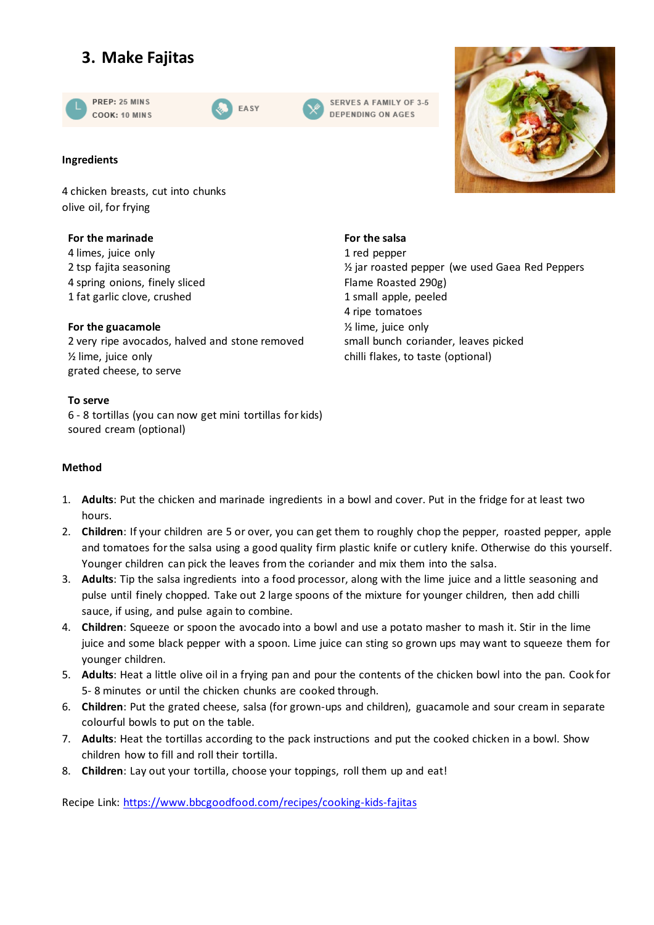# **3. Make Fajitas**







#### **Ingredients**

4 chicken breasts, cut into chunks olive oil, for frying

#### **For the marinade**

4 limes, juice only 2 tsp fajita seasoning 4 spring onions, finely sliced 1 fat garlic clove, crushed

#### **For the guacamole**

2 very ripe avocados, halved and stone removed ½ lime, juice only grated cheese, to serve

#### **To serve**

6 - 8 tortillas (you can now get mini tortillas for kids) soured cream (optional)

#### **Method**

- 1. **Adults**: Put the chicken and marinade ingredients in a bowl and cover. Put in the fridge for at least two hours.
- 2. **Children**: If your children are 5 or over, you can get them to roughly chop the pepper, roasted pepper, apple and tomatoes for the salsa using a good quality firm plastic knife or cutlery knife. Otherwise do this yourself. Younger children can pick the leaves from the coriander and mix them into the salsa.
- 3. **Adults**: Tip the salsa ingredients into a food processor, along with the lime juice and a little seasoning and pulse until finely chopped. Take out 2 large spoons of the mixture for younger children, then add chilli sauce, if using, and pulse again to combine.
- 4. **Children**: Squeeze or spoon the avocado into a bowl and use a potato masher to mash it. Stir in the lime juice and some black pepper with a spoon. Lime juice can sting so grown ups may want to squeeze them for younger children.
- 5. **Adults**: Heat a little olive oil in a frying pan and pour the contents of the chicken bowl into the pan. Cook for 5- 8 minutes or until the chicken chunks are cooked through.
- 6. **Children**: Put the grated cheese, salsa (for grown-ups and children), guacamole and sour cream in separate colourful bowls to put on the table.
- 7. **Adults**: Heat the tortillas according to the pack instructions and put the cooked chicken in a bowl. Show children how to fill and roll their tortilla.
- 8. **Children**: Lay out your tortilla, choose your toppings, roll them up and eat!

Recipe Link:<https://www.bbcgoodfood.com/recipes/cooking-kids-fajitas>



#### **For the salsa** 1 red pepper ½ jar roasted pepper (we used Gaea Red Peppers Flame Roasted 290g) 1 small apple, peeled 4 ripe tomatoes ½ lime, juice only small bunch coriander, leaves picked chilli flakes, to taste (optional)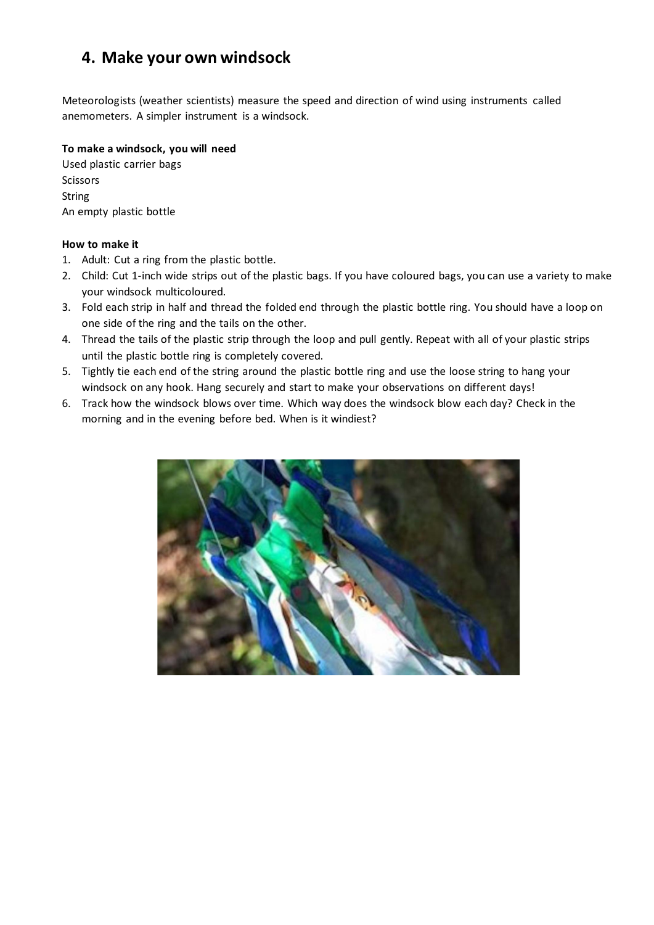## **4. Make your own windsock**

Meteorologists (weather scientists) measure the speed and direction of wind using instruments called anemometers. A simpler instrument is a windsock.

#### **To make a windsock, you will need**

Used plastic carrier bags Scissors String An empty plastic bottle

#### **How to make it**

- 1. Adult: Cut a ring from the plastic bottle.
- 2. Child: Cut 1-inch wide strips out of the plastic bags. If you have coloured bags, you can use a variety to make your windsock multicoloured.
- 3. Fold each strip in half and thread the folded end through the plastic bottle ring. You should have a loop on one side of the ring and the tails on the other.
- 4. Thread the tails of the plastic strip through the loop and pull gently. Repeat with all of your plastic strips until the plastic bottle ring is completely covered.
- 5. Tightly tie each end of the string around the plastic bottle ring and use the loose string to hang your windsock on any hook. Hang securely and start to make your observations on different days!
- 6. Track how the windsock blows over time. Which way does the windsock blow each day? Check in the morning and in the evening before bed. When is it windiest?